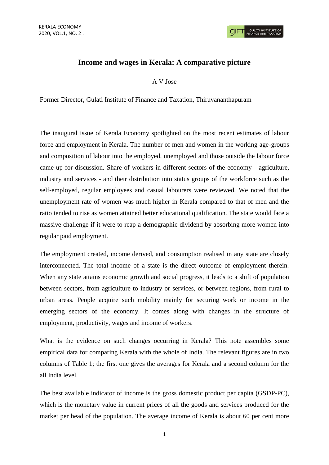## **GULATI INSTITUTE O**<br>FINANCE AND TAXATIO

## **Income and wages in Kerala: A comparative picture**

A V Jose

Former Director, Gulati Institute of Finance and Taxation, Thiruvananthapuram

The inaugural issue of Kerala Economy spotlighted on the most recent estimates of labour force and employment in Kerala. The number of men and women in the working age-groups and composition of labour into the employed, unemployed and those outside the labour force came up for discussion. Share of workers in different sectors of the economy - agriculture, industry and services - and their distribution into status groups of the workforce such as the self-employed, regular employees and casual labourers were reviewed. We noted that the unemployment rate of women was much higher in Kerala compared to that of men and the ratio tended to rise as women attained better educational qualification. The state would face a massive challenge if it were to reap a demographic dividend by absorbing more women into regular paid employment.

The employment created, income derived, and consumption realised in any state are closely interconnected. The total income of a state is the direct outcome of employment therein. When any state attains economic growth and social progress, it leads to a shift of population between sectors, from agriculture to industry or services, or between regions, from rural to urban areas. People acquire such mobility mainly for securing work or income in the emerging sectors of the economy. It comes along with changes in the structure of employment, productivity, wages and income of workers.

What is the evidence on such changes occurring in Kerala? This note assembles some empirical data for comparing Kerala with the whole of India. The relevant figures are in two columns of Table 1; the first one gives the averages for Kerala and a second column for the all India level.

The best available indicator of income is the gross domestic product per capita (GSDP-PC), which is the monetary value in current prices of all the goods and services produced for the market per head of the population. The average income of Kerala is about 60 per cent more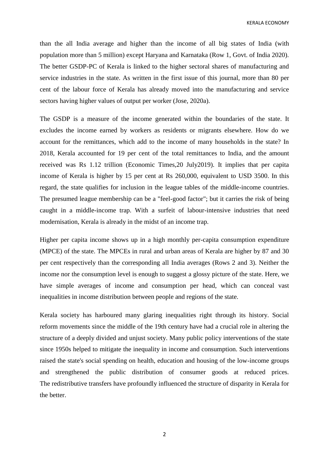KERALA ECONOMY

than the all India average and higher than the income of all big states of India (with population more than 5 million) except Haryana and Karnataka (Row 1, Govt. of India 2020). The better GSDP-PC of Kerala is linked to the higher sectoral shares of manufacturing and service industries in the state. As written in the first issue of this journal, more than 80 per cent of the labour force of Kerala has already moved into the manufacturing and service sectors having higher values of output per worker (Jose, 2020a).

The GSDP is a measure of the income generated within the boundaries of the state. It excludes the income earned by workers as residents or migrants elsewhere. How do we account for the remittances, which add to the income of many households in the state? In 2018, Kerala accounted for 19 per cent of the total remittances to India, and the amount received was Rs 1.12 trillion (Economic Times,20 July2019). It implies that per capita income of Kerala is higher by 15 per cent at Rs 260,000, equivalent to USD 3500. In this regard, the state qualifies for inclusion in the league tables of the middle-income countries. The presumed league membership can be a "feel-good factor"; but it carries the risk of being caught in a middle-income trap. With a surfeit of labour-intensive industries that need modernisation, Kerala is already in the midst of an income trap.

Higher per capita income shows up in a high monthly per-capita consumption expenditure (MPCE) of the state. The MPCEs in rural and urban areas of Kerala are higher by 87 and 30 per cent respectively than the corresponding all India averages (Rows 2 and 3). Neither the income nor the consumption level is enough to suggest a glossy picture of the state. Here, we have simple averages of income and consumption per head, which can conceal vast inequalities in income distribution between people and regions of the state.

Kerala society has harboured many glaring inequalities right through its history. Social reform movements since the middle of the 19th century have had a crucial role in altering the structure of a deeply divided and unjust society. Many public policy interventions of the state since 1950s helped to mitigate the inequality in income and consumption. Such interventions raised the state's social spending on health, education and housing of the low-income groups and strengthened the public distribution of consumer goods at reduced prices. The redistributive transfers have profoundly influenced the structure of disparity in Kerala for the better.

2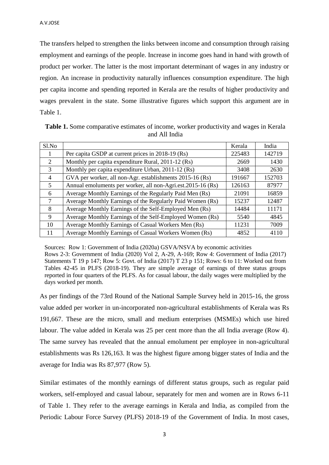The transfers helped to strengthen the links between income and consumption through raising employment and earnings of the people. Increase in income goes hand in hand with growth of product per worker. The latter is the most important determinant of wages in any industry or region. An increase in productivity naturally influences consumption expenditure. The high per capita income and spending reported in Kerala are the results of higher productivity and wages prevalent in the state. Some illustrative figures which support this argument are in Table 1.

| Sl.No          |                                                             | Kerala | India  |
|----------------|-------------------------------------------------------------|--------|--------|
|                | Per capita GSDP at current prices in 2018-19 (Rs)           | 225483 | 142719 |
| 2              | Monthly per capita expenditure Rural, 2011-12 (Rs)          | 2669   | 1430   |
| 3              | Monthly per capita expenditure Urban, 2011-12 (Rs)          | 3408   | 2630   |
| $\overline{4}$ | GVA per worker, all non-Agr. establishments 2015-16 (Rs)    | 191667 | 152703 |
| 5              | Annual emoluments per worker, all non-Agri.est.2015-16 (Rs) | 126163 | 87977  |
| 6              | Average Monthly Earnings of the Regularly Paid Men (Rs)     | 21091  | 16859  |
| 7              | Average Monthly Earnings of the Regularly Paid Women (Rs)   | 15237  | 12487  |
| 8              | Average Monthly Earnings of the Self-Employed Men (Rs)      | 14484  | 11171  |
| 9              | Average Monthly Earnings of the Self-Employed Women (Rs)    | 5540   | 4845   |
| 10             | Average Monthly Earnings of Casual Workers Men (Rs)         | 11231  | 7009   |
| 11             | Average Monthly Earnings of Casual Workers Women (Rs)       | 4852   | 4110   |

**Table 1.** Some comparative estimates of income, worker productivity and wages in Kerala and All India

Sources: Row 1: Government of India (2020a) GSVA/NSVA by economic activities Rows 2-3: Government of India (2020) Vol 2, A-29, A-169; Row 4: Government of India (2017) Statements T 19 p 147; Row 5: Govt. of India (2017) T 23 p 151; Rows: 6 to 11: Worked out from Tables 42-45 in PLFS (2018-19). They are simple average of earnings of three status groups reported in four quarters of the PLFS. As for casual labour, the daily wages were multiplied by the days worked per month.

As per findings of the 73rd Round of the National Sample Survey held in 2015-16, the gross value added per worker in un-incorporated non-agricultural establishments of Kerala was Rs 191,667. These are the micro, small and medium enterprises (MSMEs) which use hired labour. The value added in Kerala was 25 per cent more than the all India average (Row 4). The same survey has revealed that the annual emolument per employee in non-agricultural establishments was Rs 126,163. It was the highest figure among bigger states of India and the average for India was Rs 87,977 (Row 5).

Similar estimates of the monthly earnings of different status groups, such as regular paid workers, self-employed and casual labour, separately for men and women are in Rows 6-11 of Table 1. They refer to the average earnings in Kerala and India, as compiled from the Periodic Labour Force Survey (PLFS) 2018-19 of the Government of India. In most cases,